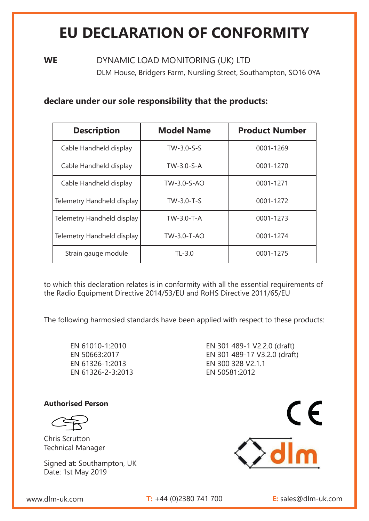# **EU DECLARATION OF CONFORMITY**

**WE** DYNAMIC LOAD MONITORING (UK) LTD DLM House, Bridgers Farm, Nursling Street, Southampton, SO16 0YA

### **declare under our sole responsibility that the products:**

| <b>Description</b>         | <b>Model Name</b> | <b>Product Number</b> |
|----------------------------|-------------------|-----------------------|
| Cable Handheld display     | $TW-3.0-S-S$      | 0001-1269             |
| Cable Handheld display     | $TW-3.0-S-A$      | 0001-1270             |
| Cable Handheld display     | TW-3.0-S-AO       | 0001-1271             |
| Telemetry Handheld display | $TW-3.0-T-S$      | 0001-1272             |
| Telemetry Handheld display | $TW-3.0-T-A$      | 0001-1273             |
| Telemetry Handheld display | TW-3.0-T-AO       | 0001-1274             |
| Strain gauge module        | $TL-3.0$          | 0001-1275             |

to which this declaration relates is in conformity with all the essential requirements of the Radio Equipment Directive 2014/53/EU and RoHS Directive 2011/65/EU

The following harmosied standards have been applied with respect to these products:

EN 61010-1:2010 EN 50663:2017 EN 61326-1:2013 EN 61326-2-3:2013 EN 301 489-1 V2.2.0 (draft) EN 301 489-17 V3.2.0 (draft) EN 300 328 V2.1.1 EN 50581:2012

#### **Authorised Person**

Signed at: Southampton, UK Date: 1st May 2019



www.dlm-uk.com **T:** +44 (0)2380 741 700 **E:** sales@dlm-uk.com

Chris Scrutton Technical Manager